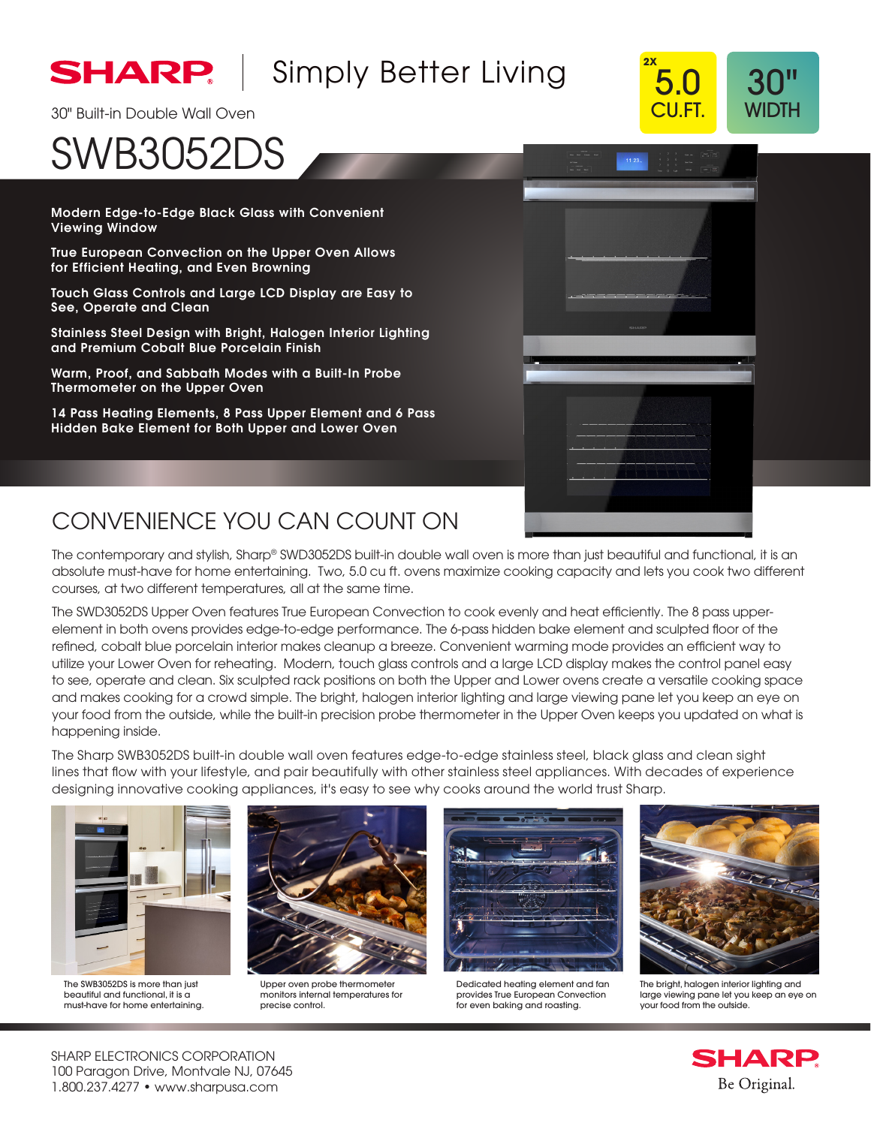

## [Simply Better Living](http://www.sharpusa.com)



# SWB3052DS

Modern Edge-to-Edge Black Glass with Convenient Viewing Window

True European Convection on the Upper Oven Allows for Efficient Heating, and Even Browning

Touch Glass Controls and Large LCD Display are Easy to See, Operate and Clean

Stainless Steel Design with Bright, Halogen Interior Lighting and Premium Cobalt Blue Porcelain Finish

Warm, Proof, and Sabbath Modes with a Built-In Probe Thermometer on the Upper Oven

14 Pass Heating Elements, 8 Pass Upper Element and 6 Pass Hidden Bake Element for Both Upper and Lower Oven



**2X**

5.0 CU.FT.

30" WIDTH

### CONVENIENCE YOU CAN COUNT ON

The contemporary and stylish, Sharp® SWD3052DS built-in double wall oven is more than just beautiful and functional, it is an absolute must-have for home entertaining. Two, 5.0 cu ft. ovens maximize cooking capacity and lets you cook two different courses, at two different temperatures, all at the same time.

The SWD3052DS Upper Oven features True European Convection to cook evenly and heat efficiently. The 8 pass upperelement in both ovens provides edge-to-edge performance. The 6-pass hidden bake element and sculpted floor of the refined, cobalt blue porcelain interior makes cleanup a breeze. Convenient warming mode provides an efficient way to utilize your Lower Oven for reheating. Modern, touch glass controls and a large LCD display makes the control panel easy to see, operate and clean. Six sculpted rack positions on both the Upper and Lower ovens create a versatile cooking space and makes cooking for a crowd simple. The bright, halogen interior lighting and large viewing pane let you keep an eye on your food from the outside, while the built-in precision probe thermometer in the Upper Oven keeps you updated on what is happening inside.

The Sharp SWB3052DS built-in double wall oven features edge-to-edge stainless steel, black glass and clean sight lines that flow with your lifestyle, and pair beautifully with other stainless steel appliances. With decades of experience designing innovative cooking appliances, it's easy to see why cooks around the world trust Sharp.



The SWB3052DS is more than just beautiful and functional, it is a must-have for home entertaining.



Upper oven probe thermometer monitors internal temperatures for precise control.



Dedicated heating element and fan provides True European Convection for even baking and roasting.



The bright, halogen interior lighting and large viewing pane let you keep an eye on your food from the outside.